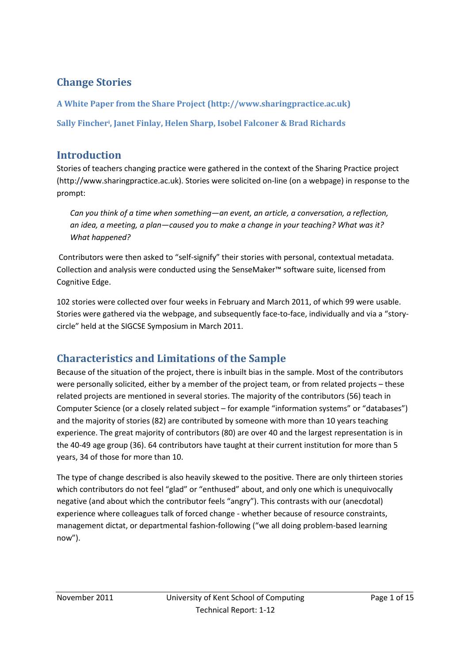# **Change Stories**

**A White Paper from the Share Project (http://www.sharingpractice.ac.uk)** 

**Sally Fincher<sup>i</sup> , Janet Finlay, Helen Sharp, Isobel Falconer & Brad Richards** 

# **Introduction**

Stories of teachers changing practice were gathered in the context of the Sharing Practice project (http://www.sharingpractice.ac.uk). Stories were solicited on-line (on a webpage) in response to the prompt:

*Can you think of a time when something—an event, an article, a conversation, a reflection, an idea, a meeting, a plan—caused you to make a change in your teaching? What was it? What happened?* 

 Contributors were then asked to "self-signify" their stories with personal, contextual metadata. Collection and analysis were conducted using the SenseMaker™ software suite, licensed from Cognitive Edge.

102 stories were collected over four weeks in February and March 2011, of which 99 were usable. Stories were gathered via the webpage, and subsequently face-to-face, individually and via a "storycircle" held at the SIGCSE Symposium in March 2011.

# **Characteristics and Limitations of the Sample**

Because of the situation of the project, there is inbuilt bias in the sample. Most of the contributors were personally solicited, either by a member of the project team, or from related projects – these related projects are mentioned in several stories. The majority of the contributors (56) teach in Computer Science (or a closely related subject – for example "information systems" or "databases") and the majority of stories (82) are contributed by someone with more than 10 years teaching experience. The great majority of contributors (80) are over 40 and the largest representation is in the 40-49 age group (36). 64 contributors have taught at their current institution for more than 5 years, 34 of those for more than 10.

The type of change described is also heavily skewed to the positive. There are only thirteen stories which contributors do not feel "glad" or "enthused" about, and only one which is unequivocally negative (and about which the contributor feels "angry"). This contrasts with our (anecdotal) experience where colleagues talk of forced change - whether because of resource constraints, management dictat, or departmental fashion-following ("we all doing problem-based learning now").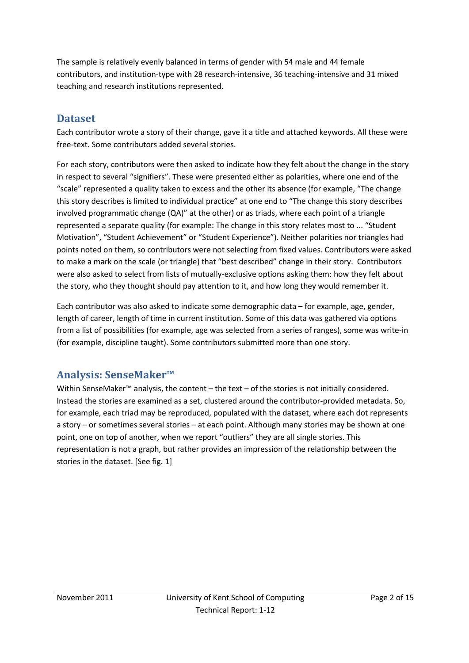The sample is relatively evenly balanced in terms of gender with 54 male and 44 female contributors, and institution-type with 28 research-intensive, 36 teaching-intensive and 31 mixed teaching and research institutions represented.

# **Dataset**

Each contributor wrote a story of their change, gave it a title and attached keywords. All these were free-text. Some contributors added several stories.

For each story, contributors were then asked to indicate how they felt about the change in the story in respect to several "signifiers". These were presented either as polarities, where one end of the "scale" represented a quality taken to excess and the other its absence (for example, "The change this story describes is limited to individual practice" at one end to "The change this story describes involved programmatic change (QA)" at the other) or as triads, where each point of a triangle represented a separate quality (for example: The change in this story relates most to ... "Student Motivation", "Student Achievement" or "Student Experience"). Neither polarities nor triangles had points noted on them, so contributors were not selecting from fixed values. Contributors were asked to make a mark on the scale (or triangle) that "best described" change in their story. Contributors were also asked to select from lists of mutually-exclusive options asking them: how they felt about the story, who they thought should pay attention to it, and how long they would remember it.

Each contributor was also asked to indicate some demographic data – for example, age, gender, length of career, length of time in current institution. Some of this data was gathered via options from a list of possibilities (for example, age was selected from a series of ranges), some was write-in (for example, discipline taught). Some contributors submitted more than one story.

# **Analysis: SenseMaker™**

Within SenseMaker™ analysis, the content – the text – of the stories is not initially considered. Instead the stories are examined as a set, clustered around the contributor-provided metadata. So, for example, each triad may be reproduced, populated with the dataset, where each dot represents a story – or sometimes several stories – at each point. Although many stories may be shown at one point, one on top of another, when we report "outliers" they are all single stories. This representation is not a graph, but rather provides an impression of the relationship between the stories in the dataset. [See fig. 1]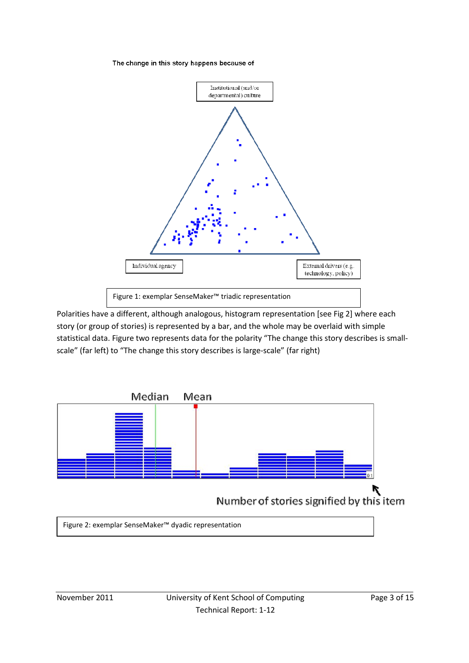#### The change in this story happens because of



Polarities have a different, although analogous, histogram representation [see Fig 2] where each story (or group of stories) is represented by a bar, and the whole may be overlaid with simple statistical data. Figure two represents data for the polarity "The change this story describes is smallscale" (far left) to "The change this story describes is large-scale" (far right)



Figure 2: exemplar SenseMaker™ dyadic representation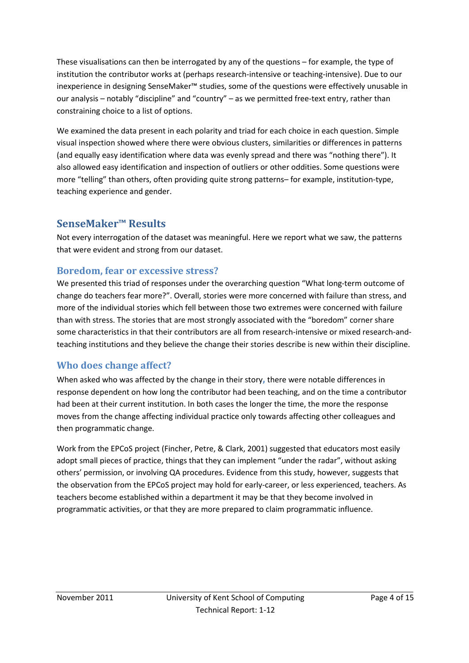These visualisations can then be interrogated by any of the questions – for example, the type of institution the contributor works at (perhaps research-intensive or teaching-intensive). Due to our inexperience in designing SenseMaker™ studies, some of the questions were effectively unusable in our analysis – notably "discipline" and "country" – as we permitted free-text entry, rather than constraining choice to a list of options.

We examined the data present in each polarity and triad for each choice in each question. Simple visual inspection showed where there were obvious clusters, similarities or differences in patterns (and equally easy identification where data was evenly spread and there was "nothing there"). It also allowed easy identification and inspection of outliers or other oddities. Some questions were more "telling" than others, often providing quite strong patterns– for example, institution-type, teaching experience and gender.

# **SenseMaker™ Results**

Not every interrogation of the dataset was meaningful. Here we report what we saw, the patterns that were evident and strong from our dataset.

### **Boredom, fear or excessive stress?**

We presented this triad of responses under the overarching question "What long-term outcome of change do teachers fear more?". Overall, stories were more concerned with failure than stress, and more of the individual stories which fell between those two extremes were concerned with failure than with stress. The stories that are most strongly associated with the "boredom" corner share some characteristics in that their contributors are all from research-intensive or mixed research-andteaching institutions and they believe the change their stories describe is new within their discipline.

# **Who does change affect?**

When asked who was affected by the change in their story**,** there were notable differences in response dependent on how long the contributor had been teaching, and on the time a contributor had been at their current institution. In both cases the longer the time, the more the response moves from the change affecting individual practice only towards affecting other colleagues and then programmatic change.

Work from the EPCoS project (Fincher, Petre, & Clark, 2001) suggested that educators most easily adopt small pieces of practice, things that they can implement "under the radar", without asking others' permission, or involving QA procedures. Evidence from this study, however, suggests that the observation from the EPCoS project may hold for early-career, or less experienced, teachers. As teachers become established within a department it may be that they become involved in programmatic activities, or that they are more prepared to claim programmatic influence.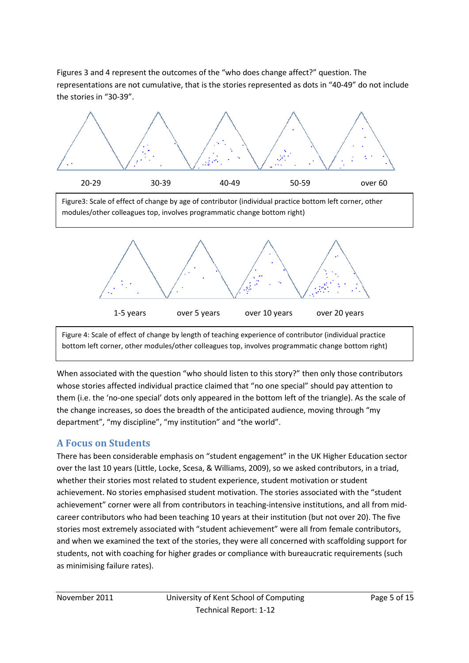Figures 3 and 4 represent the outcomes of the "who does change affect?" question. The representations are not cumulative, that is the stories represented as dots in "40-49" do not include the stories in "30-39".



Figure3: Scale of effect of change by age of contributor (individual practice bottom left corner, other modules/other colleagues top, involves programmatic change bottom right)





When associated with the question "who should listen to this story?" then only those contributors whose stories affected individual practice claimed that "no one special" should pay attention to them (i.e. the 'no-one special' dots only appeared in the bottom left of the triangle). As the scale of the change increases, so does the breadth of the anticipated audience, moving through "my department", "my discipline", "my institution" and "the world".

### **A Focus on Students**

There has been considerable emphasis on "student engagement" in the UK Higher Education sector over the last 10 years (Little, Locke, Scesa, & Williams, 2009), so we asked contributors, in a triad, whether their stories most related to student experience, student motivation or student achievement. No stories emphasised student motivation. The stories associated with the "student achievement" corner were all from contributors in teaching-intensive institutions, and all from midcareer contributors who had been teaching 10 years at their institution (but not over 20). The five stories most extremely associated with "student achievement" were all from female contributors, and when we examined the text of the stories, they were all concerned with scaffolding support for students, not with coaching for higher grades or compliance with bureaucratic requirements (such as minimising failure rates).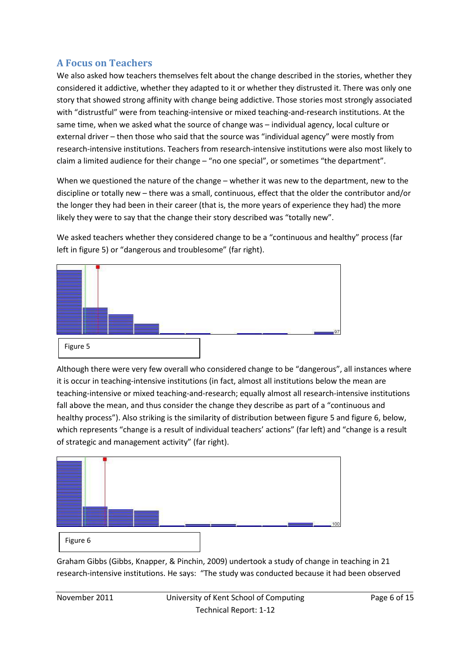### **A Focus on Teachers**

We also asked how teachers themselves felt about the change described in the stories, whether they considered it addictive, whether they adapted to it or whether they distrusted it. There was only one story that showed strong affinity with change being addictive. Those stories most strongly associated with "distrustful" were from teaching-intensive or mixed teaching-and-research institutions. At the same time, when we asked what the source of change was – individual agency, local culture or external driver – then those who said that the source was "individual agency" were mostly from research-intensive institutions. Teachers from research-intensive institutions were also most likely to claim a limited audience for their change – "no one special", or sometimes "the department".

When we questioned the nature of the change – whether it was new to the department, new to the discipline or totally new – there was a small, continuous, effect that the older the contributor and/or the longer they had been in their career (that is, the more years of experience they had) the more likely they were to say that the change their story described was "totally new".

We asked teachers whether they considered change to be a "continuous and healthy" process (far left in figure 5) or "dangerous and troublesome" (far right).



Although there were very few overall who considered change to be "dangerous", all instances where it is occur in teaching-intensive institutions (in fact, almost all institutions below the mean are teaching-intensive or mixed teaching-and-research; equally almost all research-intensive institutions fall above the mean, and thus consider the change they describe as part of a "continuous and healthy process"). Also striking is the similarity of distribution between figure 5 and figure 6, below, which represents "change is a result of individual teachers' actions" (far left) and "change is a result of strategic and management activity" (far right).



Graham Gibbs (Gibbs, Knapper, & Pinchin, 2009) undertook a study of change in teaching in 21 research-intensive institutions. He says: "The study was conducted because it had been observed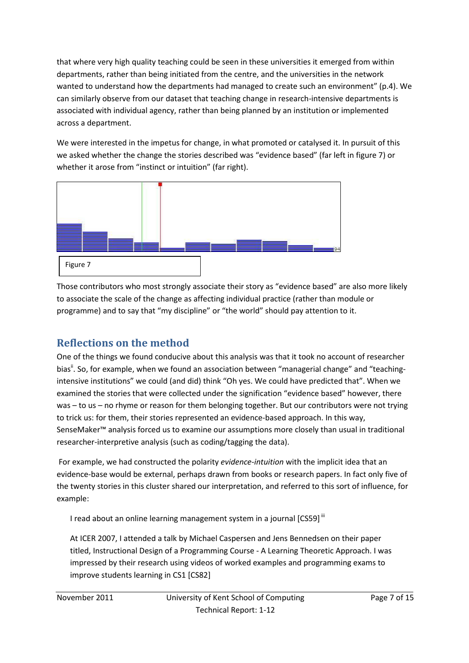that where very high quality teaching could be seen in these universities it emerged from within departments, rather than being initiated from the centre, and the universities in the network wanted to understand how the departments had managed to create such an environment" (p.4). We can similarly observe from our dataset that teaching change in research-intensive departments is associated with individual agency, rather than being planned by an institution or implemented across a department.

We were interested in the impetus for change, in what promoted or catalysed it. In pursuit of this we asked whether the change the stories described was "evidence based" (far left in figure 7) or whether it arose from "instinct or intuition" (far right).



Those contributors who most strongly associate their story as "evidence based" are also more likely to associate the scale of the change as affecting individual practice (rather than module or programme) and to say that "my discipline" or "the world" should pay attention to it.

# **Reflections on the method**

One of the things we found conducive about this analysis was that it took no account of researcher bias". So, for example, when we found an association between "managerial change" and "teachingintensive institutions" we could (and did) think "Oh yes. We could have predicted that". When we examined the stories that were collected under the signification "evidence based" however, there was – to us – no rhyme or reason for them belonging together. But our contributors were not trying to trick us: for them, their stories represented an evidence-based approach. In this way, SenseMaker™ analysis forced us to examine our assumptions more closely than usual in traditional researcher-interpretive analysis (such as coding/tagging the data).

 For example, we had constructed the polarity *evidence-intuition* with the implicit idea that an evidence-base would be external, perhaps drawn from books or research papers. In fact only five of the twenty stories in this cluster shared our interpretation, and referred to this sort of influence, for example:

I read about an online learning management system in a journal [CS59] iii

At ICER 2007, I attended a talk by Michael Caspersen and Jens Bennedsen on their paper titled, Instructional Design of a Programming Course - A Learning Theoretic Approach. I was impressed by their research using videos of worked examples and programming exams to improve students learning in CS1 [CS82]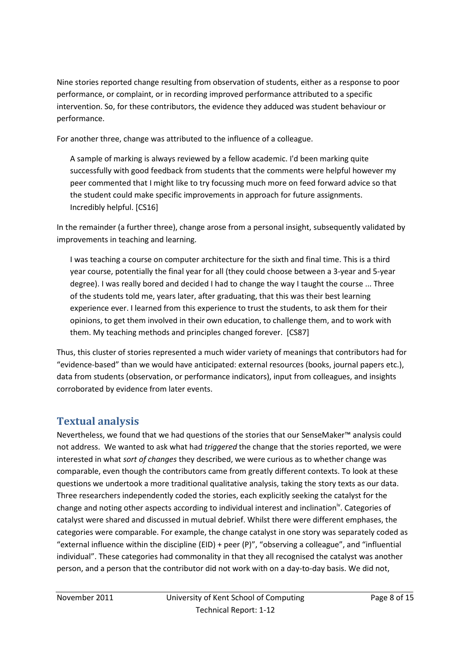Nine stories reported change resulting from observation of students, either as a response to poor performance, or complaint, or in recording improved performance attributed to a specific intervention. So, for these contributors, the evidence they adduced was student behaviour or performance.

For another three, change was attributed to the influence of a colleague.

A sample of marking is always reviewed by a fellow academic. I'd been marking quite successfully with good feedback from students that the comments were helpful however my peer commented that I might like to try focussing much more on feed forward advice so that the student could make specific improvements in approach for future assignments. Incredibly helpful. [CS16]

In the remainder (a further three), change arose from a personal insight, subsequently validated by improvements in teaching and learning.

I was teaching a course on computer architecture for the sixth and final time. This is a third year course, potentially the final year for all (they could choose between a 3-year and 5-year degree). I was really bored and decided I had to change the way I taught the course ... Three of the students told me, years later, after graduating, that this was their best learning experience ever. I learned from this experience to trust the students, to ask them for their opinions, to get them involved in their own education, to challenge them, and to work with them. My teaching methods and principles changed forever. [CS87]

Thus, this cluster of stories represented a much wider variety of meanings that contributors had for "evidence-based" than we would have anticipated: external resources (books, journal papers etc.), data from students (observation, or performance indicators), input from colleagues, and insights corroborated by evidence from later events.

# **Textual analysis**

Nevertheless, we found that we had questions of the stories that our SenseMaker™ analysis could not address. We wanted to ask what had *triggered* the change that the stories reported, we were interested in what *sort of changes* they described, we were curious as to whether change was comparable, even though the contributors came from greatly different contexts. To look at these questions we undertook a more traditional qualitative analysis, taking the story texts as our data. Three researchers independently coded the stories, each explicitly seeking the catalyst for the change and noting other aspects according to individual interest and inclination<sup>iv</sup>. Categories of catalyst were shared and discussed in mutual debrief. Whilst there were different emphases, the categories were comparable. For example, the change catalyst in one story was separately coded as "external influence within the discipline (EID) + peer  $(P)$ ", "observing a colleague", and "influential individual". These categories had commonality in that they all recognised the catalyst was another person, and a person that the contributor did not work with on a day-to-day basis. We did not,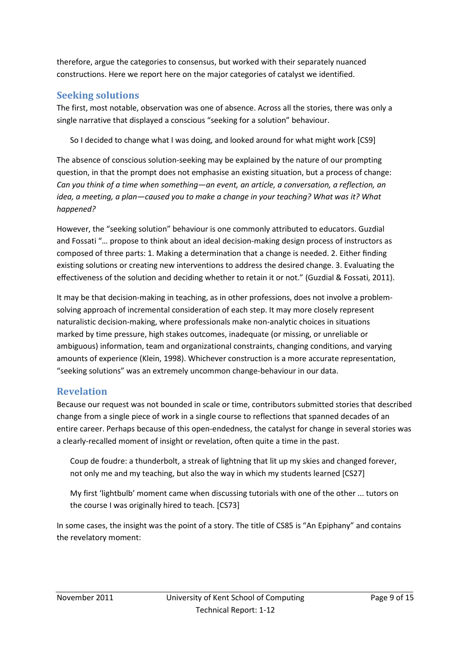therefore, argue the categories to consensus, but worked with their separately nuanced constructions. Here we report here on the major categories of catalyst we identified.

### **Seeking solutions**

The first, most notable, observation was one of absence. Across all the stories, there was only a single narrative that displayed a conscious "seeking for a solution" behaviour.

So I decided to change what I was doing, and looked around for what might work [CS9]

The absence of conscious solution-seeking may be explained by the nature of our prompting question, in that the prompt does not emphasise an existing situation, but a process of change: *Can you think of a time when something—an event, an article, a conversation, a reflection, an idea, a meeting, a plan—caused you to make a change in your teaching? What was it? What happened?*

However, the "seeking solution" behaviour is one commonly attributed to educators. Guzdial and Fossati "… propose to think about an ideal decision-making design process of instructors as composed of three parts: 1. Making a determination that a change is needed. 2. Either finding existing solutions or creating new interventions to address the desired change. 3. Evaluating the effectiveness of the solution and deciding whether to retain it or not." (Guzdial & Fossati, 2011).

It may be that decision-making in teaching, as in other professions, does not involve a problemsolving approach of incremental consideration of each step. It may more closely represent naturalistic decision-making, where professionals make non-analytic choices in situations marked by time pressure, high stakes outcomes, inadequate (or missing, or unreliable or ambiguous) information, team and organizational constraints, changing conditions, and varying amounts of experience (Klein, 1998). Whichever construction is a more accurate representation, "seeking solutions" was an extremely uncommon change-behaviour in our data.

### **Revelation**

Because our request was not bounded in scale or time, contributors submitted stories that described change from a single piece of work in a single course to reflections that spanned decades of an entire career. Perhaps because of this open-endedness, the catalyst for change in several stories was a clearly-recalled moment of insight or revelation, often quite a time in the past.

Coup de foudre: a thunderbolt, a streak of lightning that lit up my skies and changed forever, not only me and my teaching, but also the way in which my students learned [CS27]

My first 'lightbulb' moment came when discussing tutorials with one of the other ... tutors on the course I was originally hired to teach. [CS73]

In some cases, the insight was the point of a story. The title of CS85 is "An Epiphany" and contains the revelatory moment: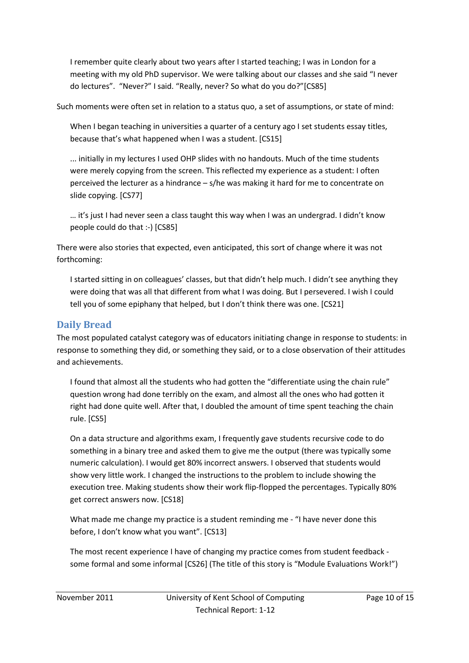I remember quite clearly about two years after I started teaching; I was in London for a meeting with my old PhD supervisor. We were talking about our classes and she said "I never do lectures". "Never?" I said. "Really, never? So what do you do?"[CS85]

Such moments were often set in relation to a status quo, a set of assumptions, or state of mind:

When I began teaching in universities a quarter of a century ago I set students essay titles, because that's what happened when I was a student. [CS15]

... initially in my lectures I used OHP slides with no handouts. Much of the time students were merely copying from the screen. This reflected my experience as a student: I often perceived the lecturer as a hindrance – s/he was making it hard for me to concentrate on slide copying. [CS77]

… it's just I had never seen a class taught this way when I was an undergrad. I didn't know people could do that :-) [CS85]

There were also stories that expected, even anticipated, this sort of change where it was not forthcoming:

I started sitting in on colleagues' classes, but that didn't help much. I didn't see anything they were doing that was all that different from what I was doing. But I persevered. I wish I could tell you of some epiphany that helped, but I don't think there was one. [CS21]

# **Daily Bread**

The most populated catalyst category was of educators initiating change in response to students: in response to something they did, or something they said, or to a close observation of their attitudes and achievements.

I found that almost all the students who had gotten the "differentiate using the chain rule" question wrong had done terribly on the exam, and almost all the ones who had gotten it right had done quite well. After that, I doubled the amount of time spent teaching the chain rule. [CS5]

On a data structure and algorithms exam, I frequently gave students recursive code to do something in a binary tree and asked them to give me the output (there was typically some numeric calculation). I would get 80% incorrect answers. I observed that students would show very little work. I changed the instructions to the problem to include showing the execution tree. Making students show their work flip-flopped the percentages. Typically 80% get correct answers now. [CS18]

What made me change my practice is a student reminding me - "I have never done this before, I don't know what you want". [CS13]

The most recent experience I have of changing my practice comes from student feedback some formal and some informal [CS26] (The title of this story is "Module Evaluations Work!")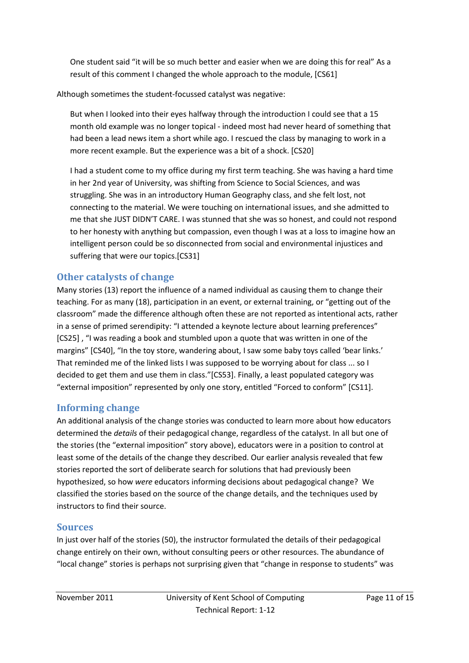One student said "it will be so much better and easier when we are doing this for real" As a result of this comment I changed the whole approach to the module, [CS61]

Although sometimes the student-focussed catalyst was negative:

But when I looked into their eyes halfway through the introduction I could see that a 15 month old example was no longer topical - indeed most had never heard of something that had been a lead news item a short while ago. I rescued the class by managing to work in a more recent example. But the experience was a bit of a shock. [CS20]

I had a student come to my office during my first term teaching. She was having a hard time in her 2nd year of University, was shifting from Science to Social Sciences, and was struggling. She was in an introductory Human Geography class, and she felt lost, not connecting to the material. We were touching on international issues, and she admitted to me that she JUST DIDN'T CARE. I was stunned that she was so honest, and could not respond to her honesty with anything but compassion, even though I was at a loss to imagine how an intelligent person could be so disconnected from social and environmental injustices and suffering that were our topics.[CS31]

# **Other catalysts of change**

Many stories (13) report the influence of a named individual as causing them to change their teaching. For as many (18), participation in an event, or external training, or "getting out of the classroom" made the difference although often these are not reported as intentional acts, rather in a sense of primed serendipity: "I attended a keynote lecture about learning preferences" [CS25] , "I was reading a book and stumbled upon a quote that was written in one of the margins" [CS40], "In the toy store, wandering about, I saw some baby toys called 'bear links.' That reminded me of the linked lists I was supposed to be worrying about for class ... so I decided to get them and use them in class."[CS53]. Finally, a least populated category was "external imposition" represented by only one story, entitled "Forced to conform" [CS11].

# **Informing change**

An additional analysis of the change stories was conducted to learn more about how educators determined the *details* of their pedagogical change, regardless of the catalyst. In all but one of the stories (the "external imposition" story above), educators were in a position to control at least some of the details of the change they described. Our earlier analysis revealed that few stories reported the sort of deliberate search for solutions that had previously been hypothesized, so how *were* educators informing decisions about pedagogical change? We classified the stories based on the source of the change details, and the techniques used by instructors to find their source.

# **Sources**

In just over half of the stories (50), the instructor formulated the details of their pedagogical change entirely on their own, without consulting peers or other resources. The abundance of "local change" stories is perhaps not surprising given that "change in response to students" was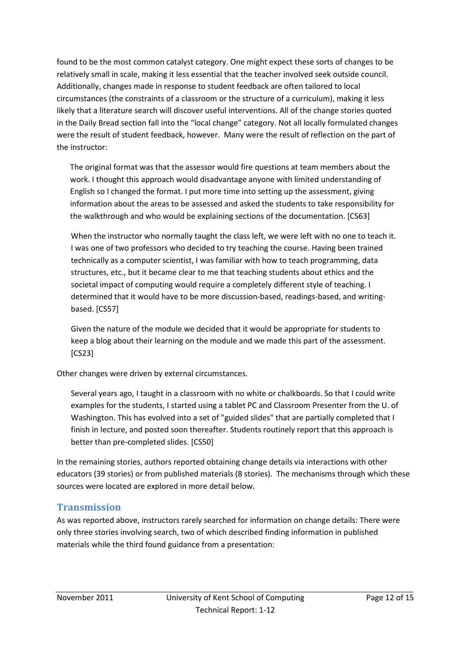found to be the most common catalyst category. One might expect these sorts of changes to be relatively small in scale, making it less essential that the teacher involved seek outside council. Additionally, changes made in response to student feedback are often tailored to local circumstances (the constraints of a classroom or the structure of a curriculum), making it less likely that a literature search will discover useful interventions. All of the change stories quoted in the Daily Bread section fall into the "local change" category. Not all locally formulated changes were the result of student feedback, however. Many were the result of reflection on the part of the instructor:

The original format was that the assessor would fire questions at team members about the work. I thought this approach would disadvantage anyone with limited understanding of English so I changed the format. I put more time into setting up the assessment, giving information about the areas to be assessed and asked the students to take responsibility for the walkthrough and who would be explaining sections of the documentation. [CS63]

When the instructor who normally taught the class left, we were left with no one to teach it. I was one of two professors who decided to try teaching the course. Having been trained technically as a computer scientist, I was familiar with how to teach programming, data structures, etc., but it became clear to me that teaching students about ethics and the societal impact of computing would require a completely different style of teaching. I determined that it would have to be more discussion-based, readings-based, and writingbased. [CS57]

Given the nature of the module we decided that it would be appropriate for students to keep a blog about their learning on the module and we made this part of the assessment. [CS23]

Other changes were driven by external circumstances.

Several years ago, I taught in a classroom with no white or chalkboards. So that I could write examples for the students, I started using a tablet PC and Classroom Presenter from the U. of Washington. This has evolved into a set of "guided slides" that are partially completed that I finish in lecture, and posted soon thereafter. Students routinely report that this approach is better than pre-completed slides. [CS50]

In the remaining stories, authors reported obtaining change details via interactions with other educators (39 stories) or from published materials (8 stories). The mechanisms through which these sources were located are explored in more detail below.

### **Transmission**

As was reported above, instructors rarely searched for information on change details: There were only three stories involving search, two of which described finding information in published materials while the third found guidance from a presentation: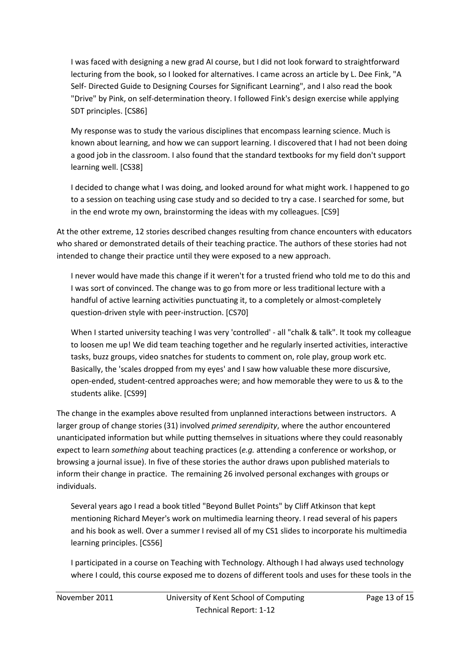I was faced with designing a new grad AI course, but I did not look forward to straightforward lecturing from the book, so I looked for alternatives. I came across an article by L. Dee Fink, "A Self- Directed Guide to Designing Courses for Significant Learning", and I also read the book "Drive" by Pink, on self-determination theory. I followed Fink's design exercise while applying SDT principles. [CS86]

My response was to study the various disciplines that encompass learning science. Much is known about learning, and how we can support learning. I discovered that I had not been doing a good job in the classroom. I also found that the standard textbooks for my field don't support learning well. [CS38]

I decided to change what I was doing, and looked around for what might work. I happened to go to a session on teaching using case study and so decided to try a case. I searched for some, but in the end wrote my own, brainstorming the ideas with my colleagues. [CS9]

At the other extreme, 12 stories described changes resulting from chance encounters with educators who shared or demonstrated details of their teaching practice. The authors of these stories had not intended to change their practice until they were exposed to a new approach.

I never would have made this change if it weren't for a trusted friend who told me to do this and I was sort of convinced. The change was to go from more or less traditional lecture with a handful of active learning activities punctuating it, to a completely or almost-completely question-driven style with peer-instruction. [CS70]

When I started university teaching I was very 'controlled' - all "chalk & talk". It took my colleague to loosen me up! We did team teaching together and he regularly inserted activities, interactive tasks, buzz groups, video snatches for students to comment on, role play, group work etc. Basically, the 'scales dropped from my eyes' and I saw how valuable these more discursive, open-ended, student-centred approaches were; and how memorable they were to us & to the students alike. [CS99]

The change in the examples above resulted from unplanned interactions between instructors. A larger group of change stories (31) involved *primed serendipity*, where the author encountered unanticipated information but while putting themselves in situations where they could reasonably expect to learn *something* about teaching practices (*e.g.* attending a conference or workshop, or browsing a journal issue). In five of these stories the author draws upon published materials to inform their change in practice. The remaining 26 involved personal exchanges with groups or individuals.

Several years ago I read a book titled "Beyond Bullet Points" by Cliff Atkinson that kept mentioning Richard Meyer's work on multimedia learning theory. I read several of his papers and his book as well. Over a summer I revised all of my CS1 slides to incorporate his multimedia learning principles. [CS56]

I participated in a course on Teaching with Technology. Although I had always used technology where I could, this course exposed me to dozens of different tools and uses for these tools in the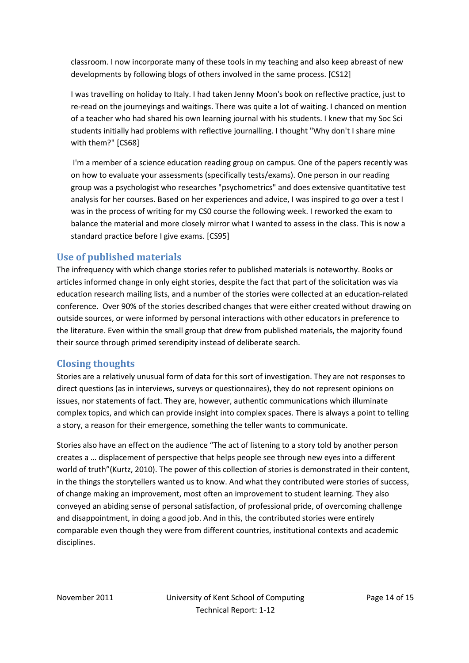classroom. I now incorporate many of these tools in my teaching and also keep abreast of new developments by following blogs of others involved in the same process. [CS12]

I was travelling on holiday to Italy. I had taken Jenny Moon's book on reflective practice, just to re-read on the journeyings and waitings. There was quite a lot of waiting. I chanced on mention of a teacher who had shared his own learning journal with his students. I knew that my Soc Sci students initially had problems with reflective journalling. I thought "Why don't I share mine with them?" [CS68]

 I'm a member of a science education reading group on campus. One of the papers recently was on how to evaluate your assessments (specifically tests/exams). One person in our reading group was a psychologist who researches "psychometrics" and does extensive quantitative test analysis for her courses. Based on her experiences and advice, I was inspired to go over a test I was in the process of writing for my CS0 course the following week. I reworked the exam to balance the material and more closely mirror what I wanted to assess in the class. This is now a standard practice before I give exams. [CS95]

# **Use of published materials**

The infrequency with which change stories refer to published materials is noteworthy. Books or articles informed change in only eight stories, despite the fact that part of the solicitation was via education research mailing lists, and a number of the stories were collected at an education-related conference. Over 90% of the stories described changes that were either created without drawing on outside sources, or were informed by personal interactions with other educators in preference to the literature. Even within the small group that drew from published materials, the majority found their source through primed serendipity instead of deliberate search.

# **Closing thoughts**

Stories are a relatively unusual form of data for this sort of investigation. They are not responses to direct questions (as in interviews, surveys or questionnaires), they do not represent opinions on issues, nor statements of fact. They are, however, authentic communications which illuminate complex topics, and which can provide insight into complex spaces. There is always a point to telling a story, a reason for their emergence, something the teller wants to communicate.

Stories also have an effect on the audience "The act of listening to a story told by another person creates a … displacement of perspective that helps people see through new eyes into a different world of truth"(Kurtz, 2010). The power of this collection of stories is demonstrated in their content, in the things the storytellers wanted us to know. And what they contributed were stories of success, of change making an improvement, most often an improvement to student learning. They also conveyed an abiding sense of personal satisfaction, of professional pride, of overcoming challenge and disappointment, in doing a good job. And in this, the contributed stories were entirely comparable even though they were from different countries, institutional contexts and academic disciplines.